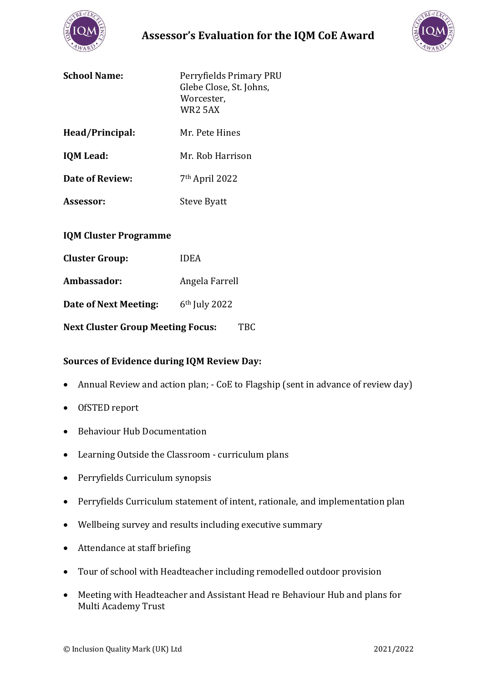

# **Assessor's Evaluation for the IQM CoE Award**



| <b>School Name:</b> | Perryfields Primary PRU<br>Glebe Close, St. Johns,<br>Worcester,<br>WR <sub>2</sub> 5AX |
|---------------------|-----------------------------------------------------------------------------------------|
| Head/Principal:     | Mr. Pete Hines                                                                          |

**IQM Lead:** Mr. Rob Harrison

- **Date of Review:** 7<sup>th</sup> April 2022
- Assessor: Steve Byatt

## **IQM Cluster Programme**

| <b>Cluster Group:</b>                    | <b>IDEA</b>     |
|------------------------------------------|-----------------|
| Ambassador:                              | Angela Farrell  |
| Date of Next Meeting:                    | $6th$ July 2022 |
| <b>Next Cluster Group Meeting Focus:</b> |                 |

# **Sources of Evidence during IQM Review Day:**

- Annual Review and action plan; CoE to Flagship (sent in advance of review day)
- OfSTED report
- Behaviour Hub Documentation
- Learning Outside the Classroom curriculum plans
- Perryfields Curriculum synopsis
- Perryfields Curriculum statement of intent, rationale, and implementation plan
- Wellbeing survey and results including executive summary
- Attendance at staff briefing
- Tour of school with Headteacher including remodelled outdoor provision
- Meeting with Headteacher and Assistant Head re Behaviour Hub and plans for Multi Academy Trust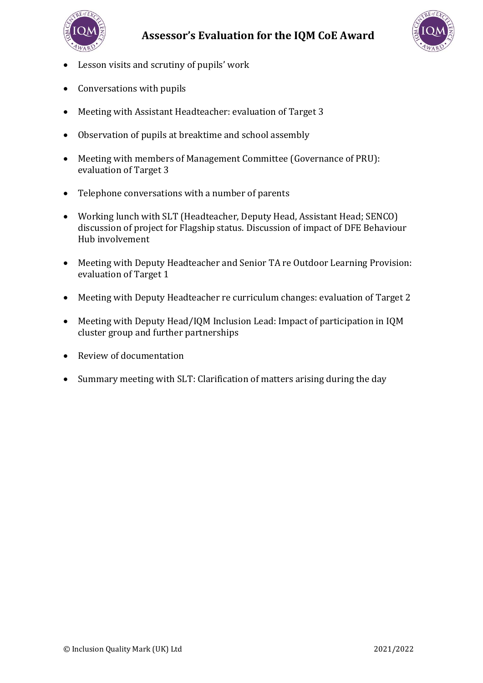



- Lesson visits and scrutiny of pupils' work
- Conversations with pupils
- Meeting with Assistant Headteacher: evaluation of Target 3
- Observation of pupils at breaktime and school assembly
- Meeting with members of Management Committee (Governance of PRU): evaluation of Target 3
- Telephone conversations with a number of parents
- Working lunch with SLT (Headteacher, Deputy Head, Assistant Head; SENCO) discussion of project for Flagship status. Discussion of impact of DFE Behaviour Hub involvement
- Meeting with Deputy Headteacher and Senior TA re Outdoor Learning Provision: evaluation of Target 1
- Meeting with Deputy Headteacher re curriculum changes: evaluation of Target 2
- Meeting with Deputy Head/IQM Inclusion Lead: Impact of participation in IQM cluster group and further partnerships
- Review of documentation
- Summary meeting with SLT: Clarification of matters arising during the day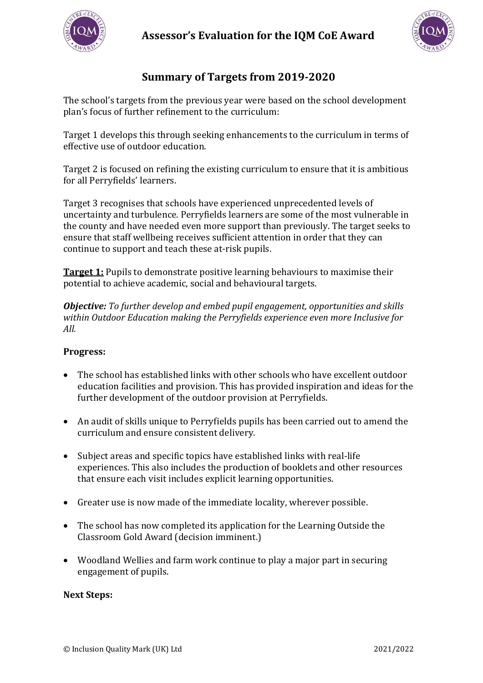



# **Summary of Targets from 2019-2020**

The school's targets from the previous year were based on the school development plan's focus of further refinement to the curriculum:

Target 1 develops this through seeking enhancements to the curriculum in terms of effective use of outdoor education.

Target 2 is focused on refining the existing curriculum to ensure that it is ambitious for all Perryfields' learners.

Target 3 recognises that schools have experienced unprecedented levels of uncertainty and turbulence. Perryfields learners are some of the most vulnerable in the county and have needed even more support than previously. The target seeks to ensure that staff wellbeing receives sufficient attention in order that they can continue to support and teach these at-risk pupils.

**Target 1:** Pupils to demonstrate positive learning behaviours to maximise their potential to achieve academic, social and behavioural targets.

*Objective: To further develop and embed pupil engagement, opportunities and skills within Outdoor Education making the Perryfields experience even more Inclusive for All.* 

## **Progress:**

- The school has established links with other schools who have excellent outdoor education facilities and provision. This has provided inspiration and ideas for the further development of the outdoor provision at Perryfields.
- An audit of skills unique to Perryfields pupils has been carried out to amend the curriculum and ensure consistent delivery.
- Subject areas and specific topics have established links with real-life experiences. This also includes the production of booklets and other resources that ensure each visit includes explicit learning opportunities.
- Greater use is now made of the immediate locality, wherever possible.
- The school has now completed its application for the Learning Outside the Classroom Gold Award (decision imminent.)
- Woodland Wellies and farm work continue to play a major part in securing engagement of pupils.

## **Next Steps:**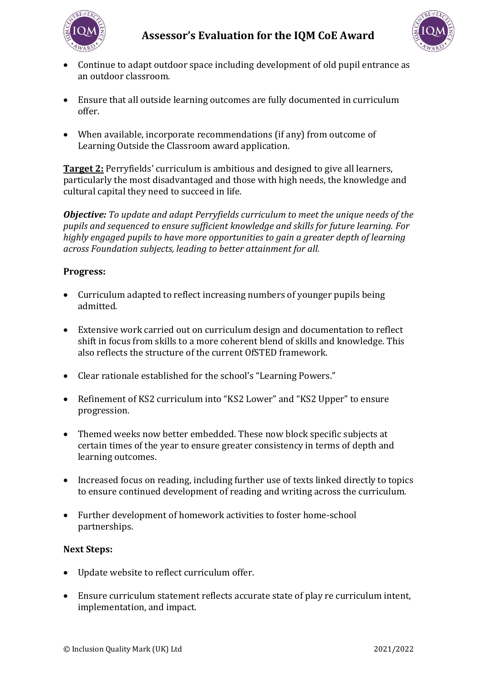



- Continue to adapt outdoor space including development of old pupil entrance as an outdoor classroom.
- Ensure that all outside learning outcomes are fully documented in curriculum offer.
- When available, incorporate recommendations (if any) from outcome of Learning Outside the Classroom award application.

**Target 2:** Perryfields' curriculum is ambitious and designed to give all learners, particularly the most disadvantaged and those with high needs, the knowledge and cultural capital they need to succeed in life.

*Objective: To update and adapt Perryfields curriculum to meet the unique needs of the pupils and sequenced to ensure sufficient knowledge and skills for future learning. For highly engaged pupils to have more opportunities to gain a greater depth of learning across Foundation subjects, leading to better attainment for all.*

## **Progress:**

- Curriculum adapted to reflect increasing numbers of younger pupils being admitted.
- Extensive work carried out on curriculum design and documentation to reflect shift in focus from skills to a more coherent blend of skills and knowledge. This also reflects the structure of the current OfSTED framework.
- Clear rationale established for the school's "Learning Powers."
- Refinement of KS2 curriculum into "KS2 Lower" and "KS2 Upper" to ensure progression.
- Themed weeks now better embedded. These now block specific subjects at certain times of the year to ensure greater consistency in terms of depth and learning outcomes.
- Increased focus on reading, including further use of texts linked directly to topics to ensure continued development of reading and writing across the curriculum.
- Further development of homework activities to foster home-school partnerships.

#### **Next Steps:**

- Update website to reflect curriculum offer.
- Ensure curriculum statement reflects accurate state of play re curriculum intent, implementation, and impact.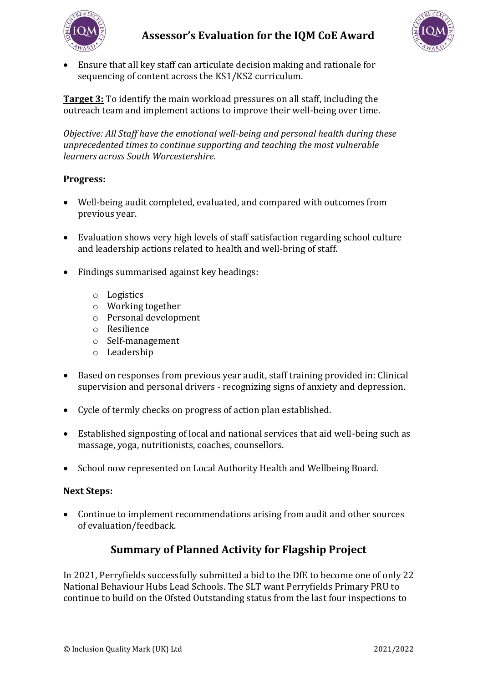



• Ensure that all key staff can articulate decision making and rationale for sequencing of content across the KS1/KS2 curriculum.

**Target 3:** To identify the main workload pressures on all staff, including the outreach team and implement actions to improve their well-being over time.

*Objective: All Staff have the emotional well-being and personal health during these unprecedented times to continue supporting and teaching the most vulnerable learners across South Worcestershire.* 

## **Progress:**

- Well-being audit completed, evaluated, and compared with outcomes from previous year.
- Evaluation shows very high levels of staff satisfaction regarding school culture and leadership actions related to health and well-bring of staff.
- Findings summarised against key headings:
	- o Logistics
	- o Working together
	- o Personal development
	- o Resilience
	- o Self-management
	- o Leadership
- Based on responses from previous year audit, staff training provided in: Clinical supervision and personal drivers - recognizing signs of anxiety and depression.
- Cycle of termly checks on progress of action plan established.
- Established signposting of local and national services that aid well-being such as massage, yoga, nutritionists, coaches, counsellors.
- School now represented on Local Authority Health and Wellbeing Board.

#### **Next Steps:**

• Continue to implement recommendations arising from audit and other sources of evaluation/feedback.

# **Summary of Planned Activity for Flagship Project**

In 2021, Perryfields successfully submitted a bid to the DfE to become one of only 22 National Behaviour Hubs Lead Schools. The SLT want Perryfields Primary PRU to continue to build on the Ofsted Outstanding status from the last four inspections to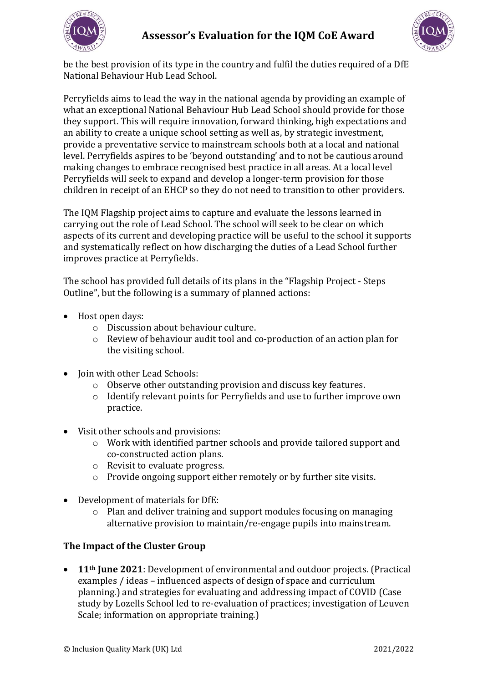



be the best provision of its type in the country and fulfil the duties required of a DfE National Behaviour Hub Lead School.

Perryfields aims to lead the way in the national agenda by providing an example of what an exceptional National Behaviour Hub Lead School should provide for those they support. This will require innovation, forward thinking, high expectations and an ability to create a unique school setting as well as, by strategic investment, provide a preventative service to mainstream schools both at a local and national level. Perryfields aspires to be 'beyond outstanding' and to not be cautious around making changes to embrace recognised best practice in all areas. At a local level Perryfields will seek to expand and develop a longer-term provision for those children in receipt of an EHCP so they do not need to transition to other providers.

The IQM Flagship project aims to capture and evaluate the lessons learned in carrying out the role of Lead School. The school will seek to be clear on which aspects of its current and developing practice will be useful to the school it supports and systematically reflect on how discharging the duties of a Lead School further improves practice at Perryfields.

The school has provided full details of its plans in the "Flagship Project - Steps Outline", but the following is a summary of planned actions:

- Host open days:
	- o Discussion about behaviour culture.
	- o Review of behaviour audit tool and co-production of an action plan for the visiting school.
- Join with other Lead Schools:
	- o Observe other outstanding provision and discuss key features.
	- o Identify relevant points for Perryfields and use to further improve own practice.
- Visit other schools and provisions:
	- o Work with identified partner schools and provide tailored support and co-constructed action plans.
	- o Revisit to evaluate progress.
	- o Provide ongoing support either remotely or by further site visits.
- Development of materials for DfE:
	- o Plan and deliver training and support modules focusing on managing alternative provision to maintain/re-engage pupils into mainstream.

# **The Impact of the Cluster Group**

• **11th June 2021**: Development of environmental and outdoor projects. (Practical examples / ideas – influenced aspects of design of space and curriculum planning.) and strategies for evaluating and addressing impact of COVID (Case study by Lozells School led to re-evaluation of practices; investigation of Leuven Scale; information on appropriate training.)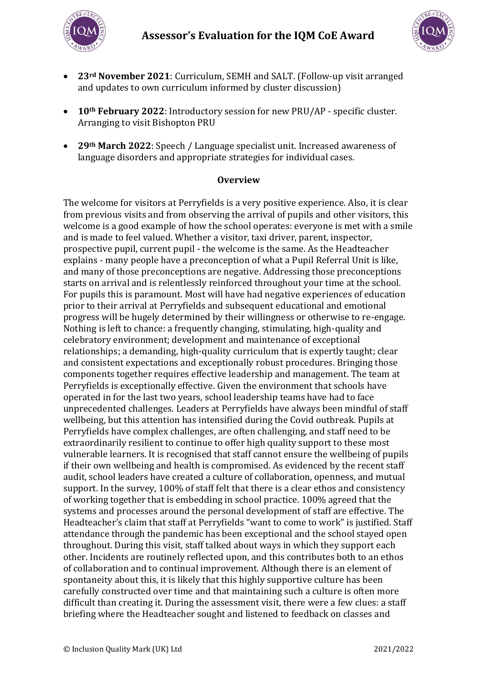



- **23rd November 2021**: Curriculum, SEMH and SALT. (Follow-up visit arranged and updates to own curriculum informed by cluster discussion)
- **10th February 2022**: Introductory session for new PRU/AP specific cluster. Arranging to visit Bishopton PRU
- **29th March 2022**: Speech / Language specialist unit. Increased awareness of language disorders and appropriate strategies for individual cases.

#### **Overview**

The welcome for visitors at Perryfields is a very positive experience. Also, it is clear from previous visits and from observing the arrival of pupils and other visitors, this welcome is a good example of how the school operates: everyone is met with a smile and is made to feel valued. Whether a visitor, taxi driver, parent, inspector, prospective pupil, current pupil - the welcome is the same. As the Headteacher explains - many people have a preconception of what a Pupil Referral Unit is like, and many of those preconceptions are negative. Addressing those preconceptions starts on arrival and is relentlessly reinforced throughout your time at the school. For pupils this is paramount. Most will have had negative experiences of education prior to their arrival at Perryfields and subsequent educational and emotional progress will be hugely determined by their willingness or otherwise to re-engage. Nothing is left to chance: a frequently changing, stimulating, high-quality and celebratory environment; development and maintenance of exceptional relationships; a demanding, high-quality curriculum that is expertly taught; clear and consistent expectations and exceptionally robust procedures. Bringing those components together requires effective leadership and management. The team at Perryfields is exceptionally effective. Given the environment that schools have operated in for the last two years, school leadership teams have had to face unprecedented challenges. Leaders at Perryfields have always been mindful of staff wellbeing, but this attention has intensified during the Covid outbreak. Pupils at Perryfields have complex challenges, are often challenging, and staff need to be extraordinarily resilient to continue to offer high quality support to these most vulnerable learners. It is recognised that staff cannot ensure the wellbeing of pupils if their own wellbeing and health is compromised. As evidenced by the recent staff audit, school leaders have created a culture of collaboration, openness, and mutual support. In the survey, 100% of staff felt that there is a clear ethos and consistency of working together that is embedding in school practice. 100% agreed that the systems and processes around the personal development of staff are effective. The Headteacher's claim that staff at Perryfields "want to come to work" is justified. Staff attendance through the pandemic has been exceptional and the school stayed open throughout. During this visit, staff talked about ways in which they support each other. Incidents are routinely reflected upon, and this contributes both to an ethos of collaboration and to continual improvement. Although there is an element of spontaneity about this, it is likely that this highly supportive culture has been carefully constructed over time and that maintaining such a culture is often more difficult than creating it. During the assessment visit, there were a few clues: a staff briefing where the Headteacher sought and listened to feedback on classes and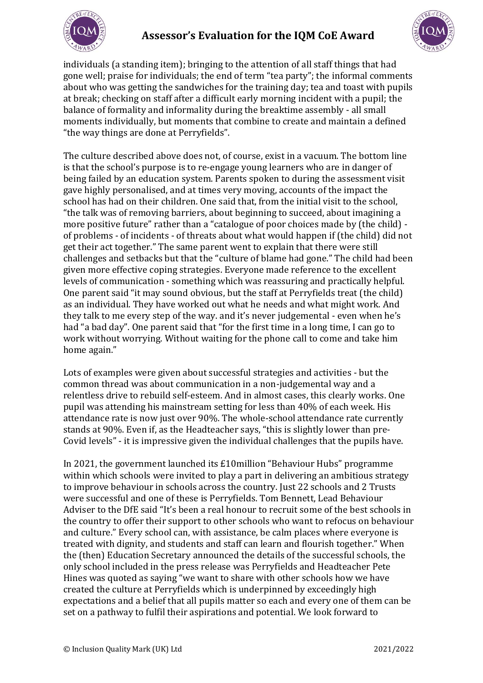



individuals (a standing item); bringing to the attention of all staff things that had gone well; praise for individuals; the end of term "tea party"; the informal comments about who was getting the sandwiches for the training day; tea and toast with pupils at break; checking on staff after a difficult early morning incident with a pupil; the balance of formality and informality during the breaktime assembly - all small moments individually, but moments that combine to create and maintain a defined "the way things are done at Perryfields".

The culture described above does not, of course, exist in a vacuum. The bottom line is that the school's purpose is to re-engage young learners who are in danger of being failed by an education system. Parents spoken to during the assessment visit gave highly personalised, and at times very moving, accounts of the impact the school has had on their children. One said that, from the initial visit to the school, "the talk was of removing barriers, about beginning to succeed, about imagining a more positive future" rather than a "catalogue of poor choices made by (the child) of problems - of incidents - of threats about what would happen if (the child) did not get their act together." The same parent went to explain that there were still challenges and setbacks but that the "culture of blame had gone." The child had been given more effective coping strategies. Everyone made reference to the excellent levels of communication - something which was reassuring and practically helpful. One parent said "it may sound obvious, but the staff at Perryfields treat (the child) as an individual. They have worked out what he needs and what might work. And they talk to me every step of the way. and it's never judgemental - even when he's had "a bad day". One parent said that "for the first time in a long time, I can go to work without worrying. Without waiting for the phone call to come and take him home again."

Lots of examples were given about successful strategies and activities - but the common thread was about communication in a non-judgemental way and a relentless drive to rebuild self-esteem. And in almost cases, this clearly works. One pupil was attending his mainstream setting for less than 40% of each week. His attendance rate is now just over 90%. The whole-school attendance rate currently stands at 90%. Even if, as the Headteacher says, "this is slightly lower than pre-Covid levels" - it is impressive given the individual challenges that the pupils have.

In 2021, the government launched its £10million "Behaviour Hubs" programme within which schools were invited to play a part in delivering an ambitious strategy to improve behaviour in schools across the country. Just 22 schools and 2 Trusts were successful and one of these is Perryfields. Tom Bennett, Lead Behaviour Adviser to the DfE said "It's been a real honour to recruit some of the best schools in the country to offer their support to other schools who want to refocus on behaviour and culture." Every school can, with assistance, be calm places where everyone is treated with dignity, and students and staff can learn and flourish together." When the (then) Education Secretary announced the details of the successful schools, the only school included in the press release was Perryfields and Headteacher Pete Hines was quoted as saying "we want to share with other schools how we have created the culture at Perryfields which is underpinned by exceedingly high expectations and a belief that all pupils matter so each and every one of them can be set on a pathway to fulfil their aspirations and potential. We look forward to